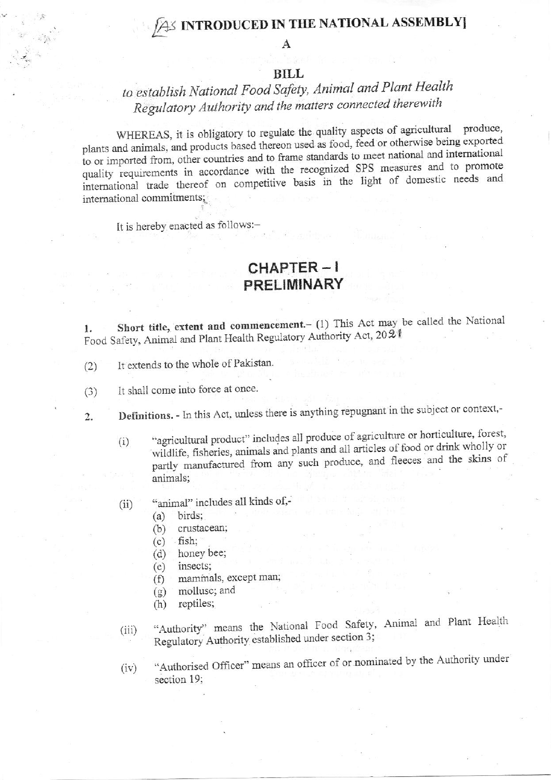## **S INTRODUCED IN THE NATIONAL ASSEMBLY**

A

## **BILL**

## to establish National Food Safety, Animal and Plant Health Regulatory Authority and the matters connected therewith

WHEREAS, it is obligatory to regulate the quality aspects of agricultural produce, plants and animals, and products based thereon used as food, feed or otherwise being exported to or imported from, other countries and to frame standards to meet national and international quality requirements in accordance with the recognized SPS measures and to promote international trade thereof on competitive basis in the light of domestic needs and international commitments;

It is hereby enacted as follows:-

## CHAPTER-I **PRELIMINARY**

Short title, extent and commencement.- (1) This Act may be called the National 1. Food Safety, Animal and Plant Health Regulatory Authority Act, 2021

- It extends to the whole of Pakistan.  $(2)$
- It shall come into force at once.  $(3)$
- Definitions. In this Act, unless there is anything repugnant in the subject or context,- $\overline{2}$ .
	- "agricultural product" includes all produce of agriculture or horticulture, forest,  $(i)$ wildlife, fisheries, animals and plants and all articles of food or drink wholly or partly manufactured from any such produce, and fleeces and the skins of animals;
	- "animal" includes all kinds of,- $(ii)$

birds;  $(a)$ 

- crustacean;  $(b)$
- fish:  $(c)$
- honey bee;  $(d)$
- insects;  $(e)$
- mammals, except man;  $(f)$
- mollusc; and  $(g)$
- reptiles;  $(h)$
- "Authority" means the National Food Safety, Animal and Plant Health  $(iii)$ Regulatory Authority established under section 3;
- "Authorised Officer" means an officer of or nominated by the Authority under  $(iv)$ section 19: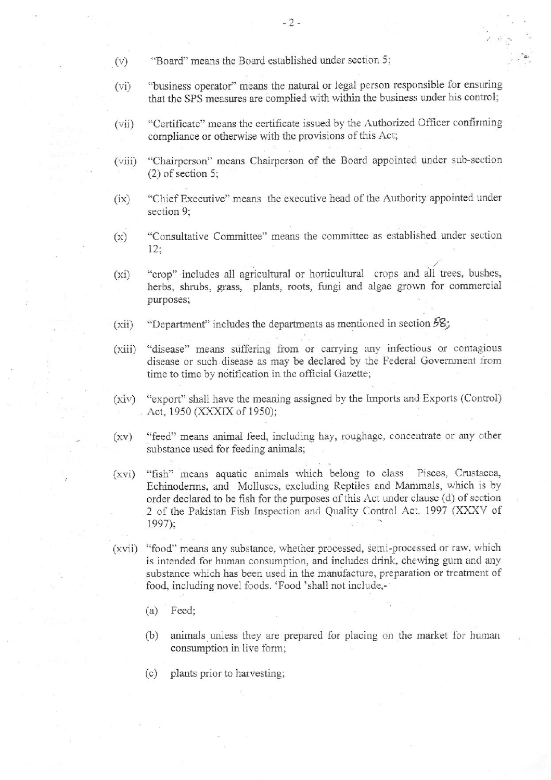- ( $v$ ) "Board" means the Board established under section 5;
- (vi) "business operator" means the natural or legal person responsible for ensuring that the SPS measures are complied with within the business under his control;
- (vii) "Certificate" means the certificate issued by the Authorized Officer confirming compliance or otherwise with the provisions of this Act;
- (viii) "Chairperson" means Chairperson of the Board appointed under sub-section (2) of section 5;
- (ix) "Chief Executive" means the executive head of the Authority appointed under section 9;
- $(x)$  "Consultative Committee" means the committee as established under section  $12:$
- "crop" includes all agricultural or horticultural crops and all trees, bushes, herbs, shrubs, grass, plants, roots, fungi and algae grown for commercial purposes;  $(xi)$
- "Department" includes the departments as mentioned in section  $58$ ; (xii)
- (xiii) "disease" means suffering from or carrying any infectious or contagious disease or such disease as may be declared by the Federal Government from time to time by notification in the official Gazette;
- (xiv) "export" shall have the meaning assigned by the Imports and Exports (Conirol) Act, 1950 (XXXIX of 1950);
- $(xv)$ "feed" means animal feed, including hay, roughage, concentrate or any other substance used for feeding animals;
- $(xvi)$ "fish" means aquatic animals which belong to class Pisces, Crustacea, Echinoderms, and Molluscs, excluding Reptiles and N{ammals, which is by order declared to be fish for the purposes of this Act under clause (d) of section 2 of the Pakistan Fish Inspection and Quality Control Act, 1997 (XXXV of 1997);
- (xvii) "food" means any substance, whether processed, semi-processed or raw, which is intended for human consumption, and includes drink, chewing gum and any substance which has been used in the manufacture, preparation or treatment of food, including novel foods. 'Food 'shall not include,-
	- (a) Feed;
	- (b) animals unless they are prepared for placing on the market for human consumption in live form;
	- (c) plants prior to harvesting;

 $-2-$